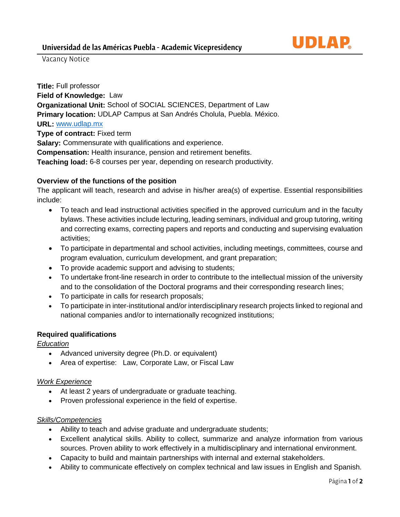

Vacancy Notice

**Title:** Full professor **Field of Knowledge:** Law **Organizational Unit:** School of SOCIAL SCIENCES, Department of Law **Primary location:** UDLAP Campus at San Andrés Cholula, Puebla. México. **URL:** [www.udlap.mx](http://www.udlap.mx/) **Type of contract:** Fixed term **Salary:** Commensurate with qualifications and experience. **Compensation:** Health insurance, pension and retirement benefits. **Teaching load:** 6-8 courses per year, depending on research productivity.

# **Overview of the functions of the position**

The applicant will teach, research and advise in his/her area(s) of expertise. Essential responsibilities include:

- To teach and lead instructional activities specified in the approved curriculum and in the faculty bylaws. These activities include lecturing, leading seminars, individual and group tutoring, writing and correcting exams, correcting papers and reports and conducting and supervising evaluation activities;
- To participate in departmental and school activities, including meetings, committees, course and program evaluation, curriculum development, and grant preparation;
- To provide academic support and advising to students;
- To undertake front-line research in order to contribute to the intellectual mission of the university and to the consolidation of the Doctoral programs and their corresponding research lines;
- To participate in calls for research proposals;
- To participate in inter-institutional and/or interdisciplinary research projects linked to regional and national companies and/or to internationally recognized institutions;

# **Required qualifications**

*Education*

- Advanced university degree (Ph.D. or equivalent)
- Area of expertise: Law, Corporate Law, or Fiscal Law

# *Work Experience*

- At least 2 years of undergraduate or graduate teaching.
- Proven professional experience in the field of expertise.

# *Skills/Competencies*

- Ability to teach and advise graduate and undergraduate students;
- Excellent analytical skills. Ability to collect, summarize and analyze information from various sources. Proven ability to work effectively in a multidisciplinary and international environment.
- Capacity to build and maintain partnerships with internal and external stakeholders.
- Ability to communicate effectively on complex technical and law issues in English and Spanish.